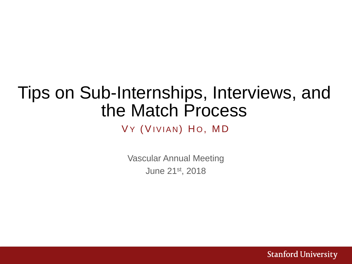# Tips on Sub-Internships, Interviews, and the Match Process

## VY (VIVIAN) HO, MD

Vascular Annual Meeting June 21st, 2018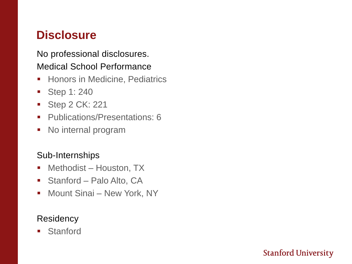## **Disclosure**

### No professional disclosures. Medical School Performance

- **EXECUTE: Honors in Medicine, Pediatrics**
- Step 1: 240
- Step 2 CK: 221
- Publications/Presentations: 6
- No internal program

#### Sub-Internships

- Methodist Houston, TX
- Stanford Palo Alto, CA
- Mount Sinai New York, NY

#### Residency

■ Stanford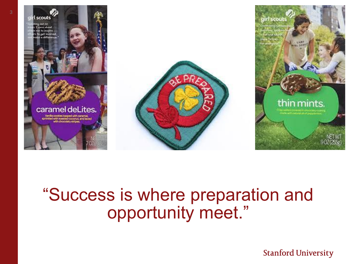

# "Success is where preparation and opportunity meet."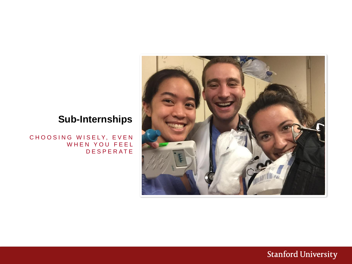

### **Sub-Internships**

CHOOSING WISELY, EVEN WHEN YOU FEEL **DESPERATE**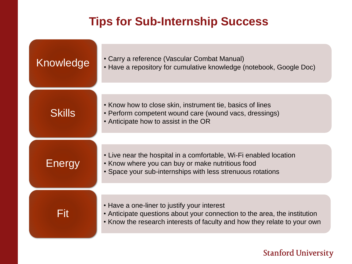## **Tips for Sub-Internship Success**

| Knowledge     | • Carry a reference (Vascular Combat Manual)<br>• Have a repository for cumulative knowledge (notebook, Google Doc)                                                                                  |
|---------------|------------------------------------------------------------------------------------------------------------------------------------------------------------------------------------------------------|
| <b>Skills</b> | • Know how to close skin, instrument tie, basics of lines<br>• Perform competent wound care (wound vacs, dressings)<br>• Anticipate how to assist in the OR                                          |
| Energy        | • Live near the hospital in a comfortable, Wi-Fi enabled location<br>• Know where you can buy or make nutritious food<br>• Space your sub-internships with less strenuous rotations                  |
| Fit           | • Have a one-liner to justify your interest<br>• Anticipate questions about your connection to the area, the institution<br>• Know the research interests of faculty and how they relate to your own |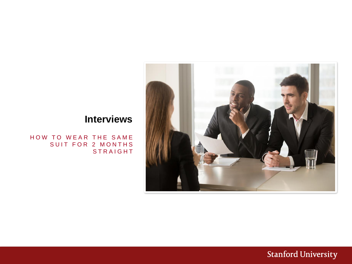

## **Interviews**

HOW TO WEAR THE SAME SUIT FOR 2 MONTHS **STRAIGHT**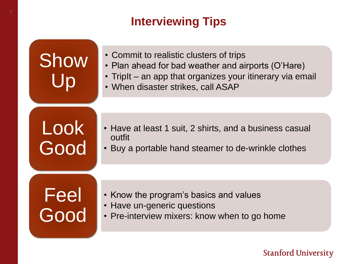# **Interviewing Tips**

Show Up

- Commit to realistic clusters of trips
- Plan ahead for bad weather and airports (O'Hare)
- TripIt an app that organizes your itinerary via email
- When disaster strikes, call ASAP

# Look Good

- Have at least 1 suit, 2 shirts, and a business casual outfit
- Buy a portable hand steamer to de-wrinkle clothes

# Feel Good

- Know the program's basics and values
- Have un-generic questions
- Pre-interview mixers: know when to go home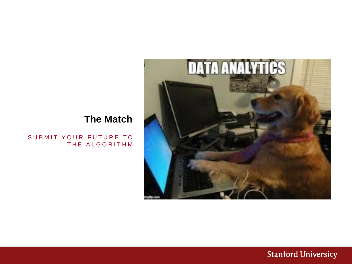

## **The Match**

SUBMIT YOUR FUTURE TO THE ALGORITHM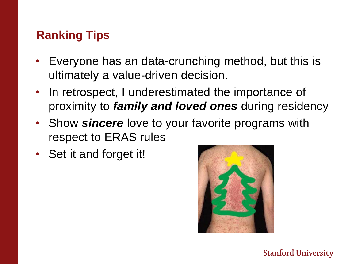# **Ranking Tips**

- Everyone has an data-crunching method, but this is ultimately a value-driven decision.
- In retrospect, I underestimated the importance of proximity to *family and loved ones* during residency
- Show *sincere* love to your favorite programs with respect to ERAS rules
- Set it and forget it!